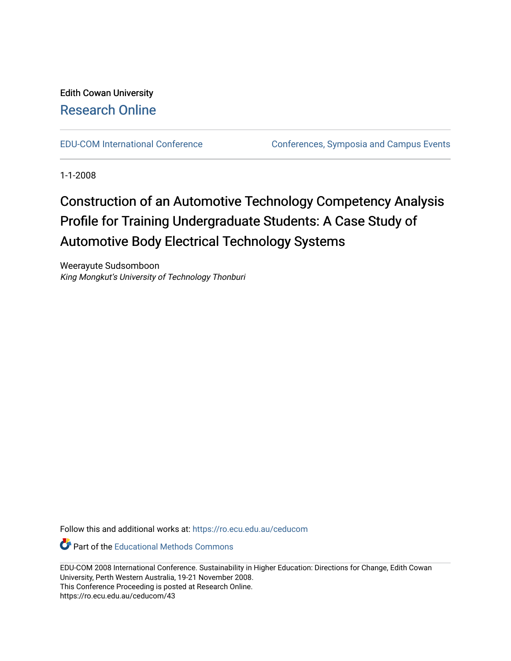# Edith Cowan University [Research Online](https://ro.ecu.edu.au/)

[EDU-COM International Conference](https://ro.ecu.edu.au/ceducom) Conferences, Symposia and Campus Events

1-1-2008

# Construction of an Automotive Technology Competency Analysis Profile for Training Undergraduate Students: A Case Study of Automotive Body Electrical Technology Systems

Weerayute Sudsomboon King Mongkut's University of Technology Thonburi

Follow this and additional works at: [https://ro.ecu.edu.au/ceducom](https://ro.ecu.edu.au/ceducom?utm_source=ro.ecu.edu.au%2Fceducom%2F43&utm_medium=PDF&utm_campaign=PDFCoverPages)

Part of the [Educational Methods Commons](http://network.bepress.com/hgg/discipline/1227?utm_source=ro.ecu.edu.au%2Fceducom%2F43&utm_medium=PDF&utm_campaign=PDFCoverPages) 

EDU-COM 2008 International Conference. Sustainability in Higher Education: Directions for Change, Edith Cowan University, Perth Western Australia, 19-21 November 2008. This Conference Proceeding is posted at Research Online. https://ro.ecu.edu.au/ceducom/43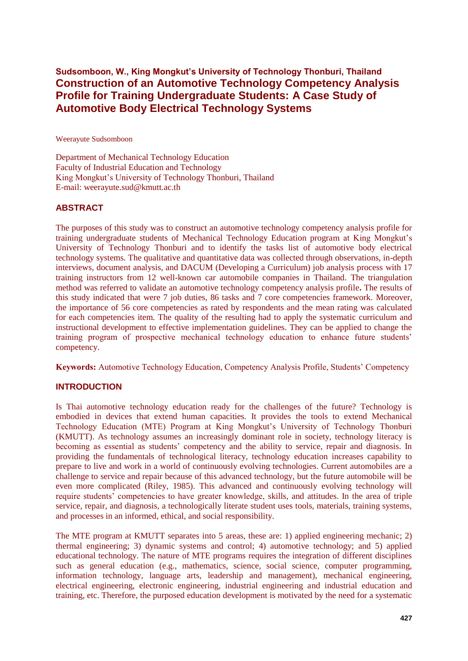## **Sudsomboon, W., King Mongkut"s University of Technology Thonburi, Thailand Construction of an Automotive Technology Competency Analysis Profile for Training Undergraduate Students: A Case Study of Automotive Body Electrical Technology Systems**

Weerayute Sudsomboon

Department of Mechanical Technology Education Faculty of Industrial Education and Technology King Mongkut's University of Technology Thonburi, Thailand E-mail: weerayute.sud@kmutt.ac.th

### **ABSTRACT**

The purposes of this study was to construct an automotive technology competency analysis profile for training undergraduate students of Mechanical Technology Education program at King Mongkut's University of Technology Thonburi and to identify the tasks list of automotive body electrical technology systems. The qualitative and quantitative data was collected through observations, in-depth interviews, document analysis, and DACUM (Developing a Curriculum) job analysis process with 17 training instructors from 12 well-known car automobile companies in Thailand. The triangulation method was referred to validate an automotive technology competency analysis profile**.** The results of this study indicated that were 7 job duties, 86 tasks and 7 core competencies framework. Moreover, the importance of 56 core competencies as rated by respondents and the mean rating was calculated for each competencies item. The quality of the resulting had to apply the systematic curriculum and instructional development to effective implementation guidelines. They can be applied to change the training program of prospective mechanical technology education to enhance future students' competency.

**Keywords:** Automotive Technology Education, Competency Analysis Profile, Students' Competency

#### **INTRODUCTION**

Is Thai automotive technology education ready for the challenges of the future? Technology is embodied in devices that extend human capacities. It provides the tools to extend Mechanical Technology Education (MTE) Program at King Mongkut's University of Technology Thonburi (KMUTT). As technology assumes an increasingly dominant role in society, technology literacy is becoming as essential as students' competency and the ability to service, repair and diagnosis. In providing the fundamentals of technological literacy, technology education increases capability to prepare to live and work in a world of continuously evolving technologies. Current automobiles are a challenge to service and repair because of this advanced technology, but the future automobile will be even more complicated (Riley, 1985). This advanced and continuously evolving technology will require students' competencies to have greater knowledge, skills, and attitudes. In the area of triple service, repair, and diagnosis, a technologically literate student uses tools, materials, training systems, and processes in an informed, ethical, and social responsibility.

The MTE program at KMUTT separates into 5 areas, these are: 1) applied engineering mechanic; 2) thermal engineering; 3) dynamic systems and control; 4) automotive technology; and 5) applied educational technology. The nature of MTE programs requires the integration of different disciplines such as general education (e.g., mathematics, science, social science, computer programming, information technology, language arts, leadership and management), mechanical engineering, electrical engineering, electronic engineering, industrial engineering and industrial education and training, etc. Therefore, the purposed education development is motivated by the need for a systematic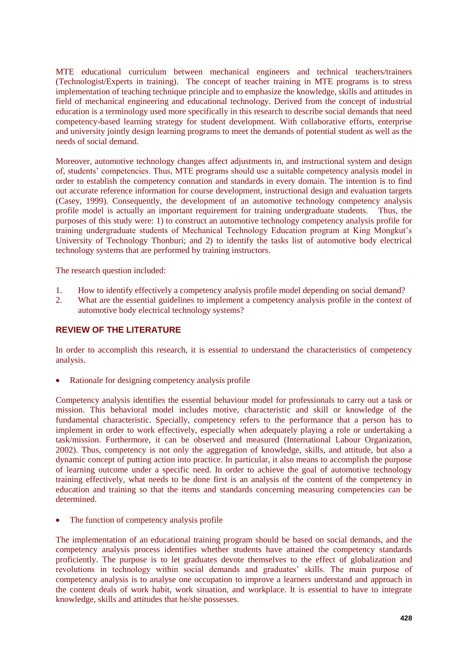MTE educational curriculum between mechanical engineers and technical teachers/trainers (Technologist/Experts in training). The concept of teacher training in MTE programs is to stress implementation of teaching technique principle and to emphasize the knowledge, skills and attitudes in field of mechanical engineering and educational technology. Derived from the concept of industrial education is a terminology used more specifically in this research to describe social demands that need competency-based learning strategy for student development. With collaborative efforts, enterprise and university jointly design learning programs to meet the demands of potential student as well as the needs of social demand.

Moreover, automotive technology changes affect adjustments in, and instructional system and design of, students' competencies. Thus, MTE programs should use a suitable competency analysis model in order to establish the competency connation and standards in every domain. The intention is to find out accurate reference information for course development, instructional design and evaluation targets (Casey, 1999). Consequently, the development of an automotive technology competency analysis profile model is actually an important requirement for training undergraduate students. Thus, the purposes of this study were: 1) to construct an automotive technology competency analysis profile for training undergraduate students of Mechanical Technology Education program at King Mongkut's University of Technology Thonburi; and 2) to identify the tasks list of automotive body electrical technology systems that are performed by training instructors.

The research question included:

- 1. How to identify effectively a competency analysis profile model depending on social demand?
- 2. What are the essential guidelines to implement a competency analysis profile in the context of automotive body electrical technology systems?

### **REVIEW OF THE LITERATURE**

In order to accomplish this research, it is essential to understand the characteristics of competency analysis.

Rationale for designing competency analysis profile

Competency analysis identifies the essential behaviour model for professionals to carry out a task or mission. This behavioral model includes motive, characteristic and skill or knowledge of the fundamental characteristic. Specially, competency refers to the performance that a person has to implement in order to work effectively, especially when adequately playing a role or undertaking a task/mission. Furthermore, it can be observed and measured (International Labour Organization, 2002). Thus, competency is not only the aggregation of knowledge, skills, and attitude, but also a dynamic concept of putting action into practice. In particular, it also means to accomplish the purpose of learning outcome under a specific need. In order to achieve the goal of automotive technology training effectively, what needs to be done first is an analysis of the content of the competency in education and training so that the items and standards concerning measuring competencies can be determined.

The function of competency analysis profile

The implementation of an educational training program should be based on social demands, and the competency analysis process identifies whether students have attained the competency standards proficiently. The purpose is to let graduates devote themselves to the effect of globalization and revolutions in technology within social demands and graduates' skills. The main purpose of competency analysis is to analyse one occupation to improve a learners understand and approach in the content deals of work habit, work situation, and workplace. It is essential to have to integrate knowledge, skills and attitudes that he/she possesses.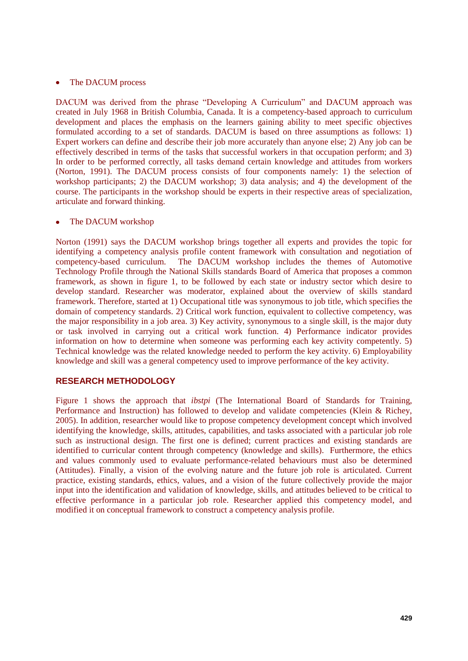#### The DACUM process  $\bullet$

DACUM was derived from the phrase "Developing A Curriculum" and DACUM approach was created in July 1968 in British Columbia, Canada. It is a competency-based approach to curriculum development and places the emphasis on the learners gaining ability to meet specific objectives formulated according to a set of standards. DACUM is based on three assumptions as follows: 1) Expert workers can define and describe their job more accurately than anyone else; 2) Any job can be effectively described in terms of the tasks that successful workers in that occupation perform; and 3) In order to be performed correctly, all tasks demand certain knowledge and attitudes from workers (Norton, 1991). The DACUM process consists of four components namely: 1) the selection of workshop participants; 2) the DACUM workshop; 3) data analysis; and 4) the development of the course. The participants in the workshop should be experts in their respective areas of specialization, articulate and forward thinking.

#### The DACUM workshop  $\bullet$

Norton (1991) says the DACUM workshop brings together all experts and provides the topic for identifying a competency analysis profile content framework with consultation and negotiation of competency-based curriculum. The DACUM workshop includes the themes of Automotive Technology Profile through the National Skills standards Board of America that proposes a common framework, as shown in figure 1, to be followed by each state or industry sector which desire to develop standard. Researcher was moderator, explained about the overview of skills standard framework. Therefore, started at 1) Occupational title was synonymous to job title, which specifies the domain of competency standards. 2) Critical work function, equivalent to collective competency, was the major responsibility in a job area. 3) Key activity, synonymous to a single skill, is the major duty or task involved in carrying out a critical work function. 4) Performance indicator provides information on how to determine when someone was performing each key activity competently. 5) Technical knowledge was the related knowledge needed to perform the key activity. 6) Employability knowledge and skill was a general competency used to improve performance of the key activity.

#### **RESEARCH METHODOLOGY**

Figure 1 shows the approach that *ibstpi* (The International Board of Standards for Training, Performance and Instruction) has followed to develop and validate competencies (Klein & Richey, 2005). In addition, researcher would like to propose competency development concept which involved identifying the knowledge, skills, attitudes, capabilities, and tasks associated with a particular job role such as instructional design. The first one is defined; current practices and existing standards are identified to curricular content through competency (knowledge and skills). Furthermore, the ethics and values commonly used to evaluate performance-related behaviours must also be determined (Attitudes). Finally, a vision of the evolving nature and the future job role is articulated. Current practice, existing standards, ethics, values, and a vision of the future collectively provide the major input into the identification and validation of knowledge, skills, and attitudes believed to be critical to effective performance in a particular job role. Researcher applied this competency model, and modified it on conceptual framework to construct a competency analysis profile.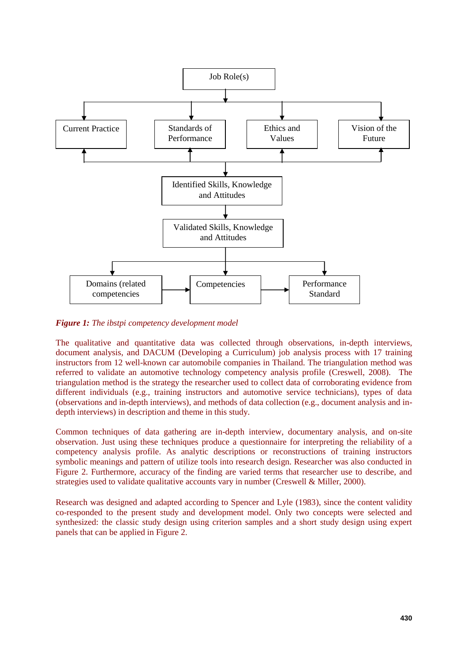

*Figure 1: The ibstpi competency development model* 

The qualitative and quantitative data was collected through observations, in-depth interviews, document analysis, and DACUM (Developing a Curriculum) job analysis process with 17 training instructors from 12 well-known car automobile companies in Thailand. The triangulation method was referred to validate an automotive technology competency analysis profile (Creswell, 2008). The triangulation method is the strategy the researcher used to collect data of corroborating evidence from different individuals (e.g., training instructors and automotive service technicians), types of data (observations and in-depth interviews), and methods of data collection (e.g., document analysis and indepth interviews) in description and theme in this study.

Common techniques of data gathering are in-depth interview, documentary analysis, and on-site observation. Just using these techniques produce a questionnaire for interpreting the reliability of a competency analysis profile. As analytic descriptions or reconstructions of training instructors symbolic meanings and pattern of utilize tools into research design. Researcher was also conducted in Figure 2. Furthermore, accuracy of the finding are varied terms that researcher use to describe, and strategies used to validate qualitative accounts vary in number (Creswell & Miller, 2000).

Research was designed and adapted according to Spencer and Lyle (1983), since the content validity co-responded to the present study and development model. Only two concepts were selected and synthesized: the classic study design using criterion samples and a short study design using expert panels that can be applied in Figure 2.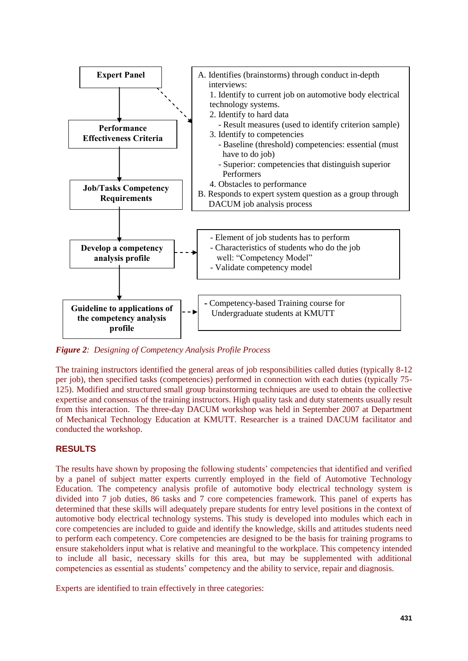

*Figure 2: Designing of Competency Analysis Profile Process* 

The training instructors identified the general areas of job responsibilities called duties (typically 8-12 per job), then specified tasks (competencies) performed in connection with each duties (typically 75- 125). Modified and structured small group brainstorming techniques are used to obtain the collective expertise and consensus of the training instructors. High quality task and duty statements usually result from this interaction. The three-day DACUM workshop was held in September 2007 at Department of Mechanical Technology Education at KMUTT. Researcher is a trained DACUM facilitator and conducted the workshop.

#### **RESULTS**

The results have shown by proposing the following students' competencies that identified and verified by a panel of subject matter experts currently employed in the field of Automotive Technology Education. The competency analysis profile of automotive body electrical technology system is divided into 7 job duties, 86 tasks and 7 core competencies framework. This panel of experts has determined that these skills will adequately prepare students for entry level positions in the context of automotive body electrical technology systems. This study is developed into modules which each in core competencies are included to guide and identify the knowledge, skills and attitudes students need to perform each competency. Core competencies are designed to be the basis for training programs to ensure stakeholders input what is relative and meaningful to the workplace. This competency intended to include all basic, necessary skills for this area, but may be supplemented with additional competencies as essential as students' competency and the ability to service, repair and diagnosis.

Experts are identified to train effectively in three categories: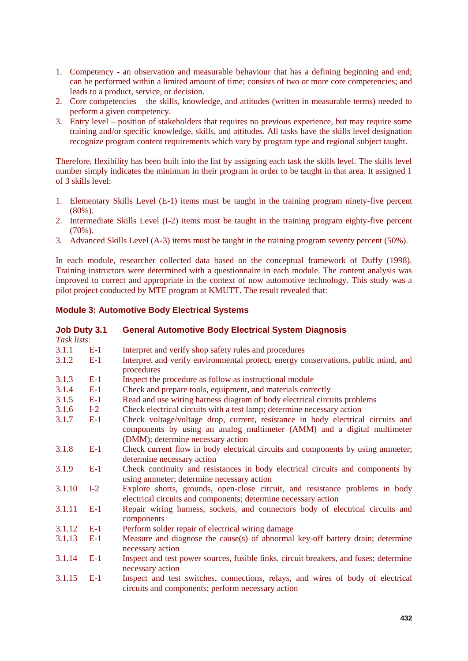- 1. Competency an observation and measurable behaviour that has a defining beginning and end; can be performed within a limited amount of time; consists of two or more core competencies; and leads to a product, service, or decision.
- 2. Core competencies the skills, knowledge, and attitudes (written in measurable terms) needed to perform a given competency.
- 3. Entry level position of stakeholders that requires no previous experience, but may require some training and/or specific knowledge, skills, and attitudes. All tasks have the skills level designation recognize program content requirements which vary by program type and regional subject taught.

Therefore, flexibility has been built into the list by assigning each task the skills level. The skills level number simply indicates the minimum in their program in order to be taught in that area. It assigned 1 of 3 skills level:

- 1. Elementary Skills Level (E-1) items must be taught in the training program ninety-five percent (80%).
- 2. Intermediate Skills Level (I-2) items must be taught in the training program eighty-five percent (70%).
- 3. Advanced Skills Level (A-3) items must be taught in the training program seventy percent (50%).

In each module, researcher collected data based on the conceptual framework of Duffy (1998). Training instructors were determined with a questionnaire in each module. The content analysis was improved to correct and appropriate in the context of now automotive technology. This study was a pilot project conducted by MTE program at KMUTT. The result revealed that:

#### **Module 3: Automotive Body Electrical Systems**

| <b>Job Duty 3.1</b> |       | <b>General Automotive Body Electrical System Diagnosis</b>                                                                                                                                      |  |
|---------------------|-------|-------------------------------------------------------------------------------------------------------------------------------------------------------------------------------------------------|--|
| Task lists:         |       |                                                                                                                                                                                                 |  |
| 3.1.1               | $E-1$ | Interpret and verify shop safety rules and procedures                                                                                                                                           |  |
| 3.1.2               | $E-1$ | Interpret and verify environmental protect, energy conservations, public mind, and<br>procedures                                                                                                |  |
| 3.1.3               | $E-1$ | Inspect the procedure as follow as instructional module                                                                                                                                         |  |
| 3.1.4               | $E-1$ | Check and prepare tools, equipment, and materials correctly                                                                                                                                     |  |
| 3.1.5               | $E-1$ | Read and use wiring harness diagram of body electrical circuits problems                                                                                                                        |  |
| 3.1.6               | $I-2$ | Check electrical circuits with a test lamp; determine necessary action                                                                                                                          |  |
| 3.1.7               | $E-1$ | Check voltage/voltage drop, current, resistance in body electrical circuits and<br>components by using an analog multimeter (AMM) and a digital multimeter<br>(DMM); determine necessary action |  |
| 3.1.8               | $E-1$ | Check current flow in body electrical circuits and components by using ammeter;<br>determine necessary action                                                                                   |  |
| 3.1.9               | $E-1$ | Check continuity and resistances in body electrical circuits and components by<br>using ammeter; determine necessary action                                                                     |  |
| 3.1.10              | $I-2$ | Explore shorts, grounds, open-close circuit, and resistance problems in body<br>electrical circuits and components; determine necessary action                                                  |  |
| 3.1.11              | $E-1$ | Repair wiring harness, sockets, and connectors body of electrical circuits and<br>components                                                                                                    |  |
| 3.1.12              | $E-1$ | Perform solder repair of electrical wiring damage                                                                                                                                               |  |
| 3.1.13              | $E-1$ | Measure and diagnose the cause(s) of abnormal key-off battery drain; determine<br>necessary action                                                                                              |  |
| 3.1.14              | $E-1$ | Inspect and test power sources, fusible links, circuit breakers, and fuses; determine<br>necessary action                                                                                       |  |
| 3.1.15              | $E-1$ | Inspect and test switches, connections, relays, and wires of body of electrical<br>circuits and components; perform necessary action                                                            |  |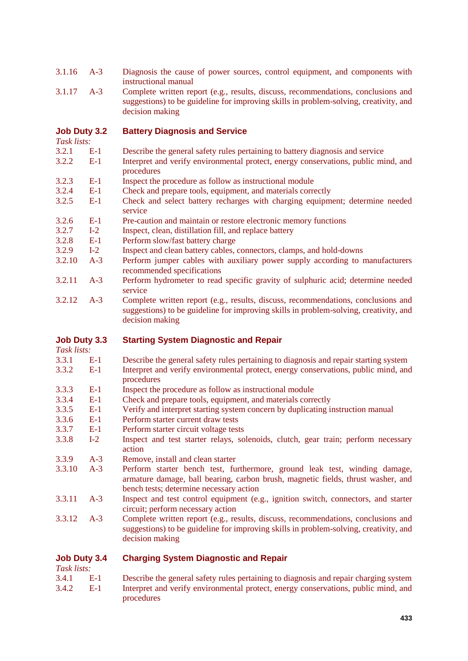- 3.1.16 A-3 Diagnosis the cause of power sources, control equipment, and components with instructional manual
- 3.1.17 A-3 Complete written report (e.g., results, discuss, recommendations, conclusions and suggestions) to be guideline for improving skills in problem-solving, creativity, and decision making

#### **Job Duty 3.2 Battery Diagnosis and Service**

*Task lists:* 

- 3.2.1 E-1 Describe the general safety rules pertaining to battery diagnosis and service
- 3.2.2 E-1 Interpret and verify environmental protect, energy conservations, public mind, and procedures
- 3.2.3 E-1 Inspect the procedure as follow as instructional module
- 3.2.4 E-1 Check and prepare tools, equipment, and materials correctly
- 3.2.5 E-1 Check and select battery recharges with charging equipment; determine needed service
- 3.2.6 E-1 Pre-caution and maintain or restore electronic memory functions
- 3.2.7 I-2 Inspect, clean, distillation fill, and replace battery
- 3.2.8 E-1 Perform slow/fast battery charge
- 3.2.9 I-2 Inspect and clean battery cables, connectors, clamps, and hold-downs
- 3.2.10 A-3 Perform jumper cables with auxiliary power supply according to manufacturers recommended specifications
- 3.2.11 A-3 Perform hydrometer to read specific gravity of sulphuric acid; determine needed service
- 3.2.12 A-3 Complete written report (e.g., results, discuss, recommendations, conclusions and suggestions) to be guideline for improving skills in problem-solving, creativity, and decision making

#### **Job Duty 3.3 Starting System Diagnostic and Repair**

*Task lists:* 

- 3.3.1 E-1 Describe the general safety rules pertaining to diagnosis and repair starting system
- 3.3.2 E-1 Interpret and verify environmental protect, energy conservations, public mind, and procedures
- 3.3.3 E-1 Inspect the procedure as follow as instructional module
- 3.3.4 E-1 Check and prepare tools, equipment, and materials correctly
- 3.3.5 E-1 Verify and interpret starting system concern by duplicating instruction manual
- 3.3.6 E-1 Perform starter current draw tests
- 3.3.7 E-1 Perform starter circuit voltage tests
- 3.3.8 I-2 Inspect and test starter relays, solenoids, clutch, gear train; perform necessary action
- 3.3.9 A-3 Remove, install and clean starter
- 3.3.10 A-3 Perform starter bench test, furthermore, ground leak test, winding damage, armature damage, ball bearing, carbon brush, magnetic fields, thrust washer, and bench tests; determine necessary action
- 3.3.11 A-3 Inspect and test control equipment (e.g., ignition switch, connectors, and starter circuit; perform necessary action
- 3.3.12 A-3 Complete written report (e.g., results, discuss, recommendations, conclusions and suggestions) to be guideline for improving skills in problem-solving, creativity, and decision making

#### **Job Duty 3.4 Charging System Diagnostic and Repair**

*Task lists:* 

3.4.1 E-1 Describe the general safety rules pertaining to diagnosis and repair charging system 3.4.2 E-1 Interpret and verify environmental protect, energy conservations, public mind, and procedures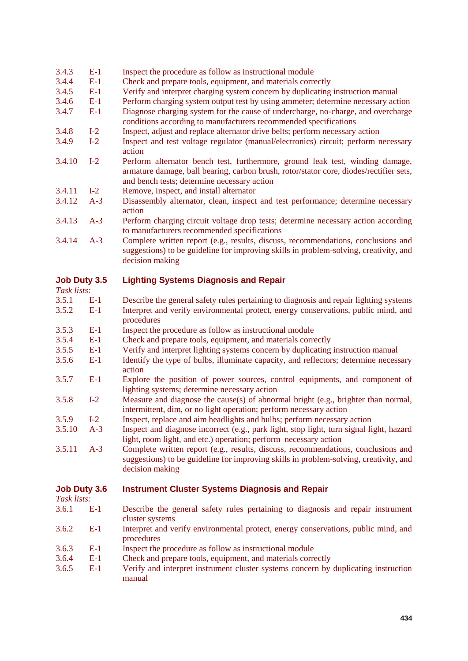#### 3.4.3 E-1 Inspect the procedure as follow as instructional module

- 3.4.4 E-1 Check and prepare tools, equipment, and materials correctly
- 3.4.5 E-1 Verify and interpret charging system concern by duplicating instruction manual
- 3.4.6 E-1 Perform charging system output test by using ammeter; determine necessary action
- 3.4.7 E-1 Diagnose charging system for the cause of undercharge, no-charge, and overcharge conditions according to manufacturers recommended specifications
- 3.4.8 I-2 Inspect, adjust and replace alternator drive belts; perform necessary action
- 3.4.9 I-2 Inspect and test voltage regulator (manual/electronics) circuit; perform necessary action
- 3.4.10 I-2 Perform alternator bench test, furthermore, ground leak test, winding damage, armature damage, ball bearing, carbon brush, rotor/stator core, diodes/rectifier sets, and bench tests; determine necessary action
- 3.4.11 I-2 Remove, inspect, and install alternator
- 3.4.12 A-3 Disassembly alternator, clean, inspect and test performance; determine necessary action
- 3.4.13 A-3 Perform charging circuit voltage drop tests; determine necessary action according to manufacturers recommended specifications
- 3.4.14 A-3 Complete written report (e.g., results, discuss, recommendations, conclusions and suggestions) to be guideline for improving skills in problem-solving, creativity, and decision making

#### **Job Duty 3.5 Lighting Systems Diagnosis and Repair**

*Task lists:* 

| - Labin adda |       |                                                                                       |
|--------------|-------|---------------------------------------------------------------------------------------|
| 3.5.1        | -E-1  | Describe the general safety rules pertaining to diagnosis and repair lighting systems |
| 3.5.2        | $E-1$ | Interpret and verify environmental protect, energy conservations, public mind, and    |
|              |       | procedures                                                                            |
| 250          |       | In an each the current dense an Call and an instrument and meaded a                   |

- 3.5.3 E-1 Inspect the procedure as follow as instructional module
- 3.5.4 E-1 Check and prepare tools, equipment, and materials correctly<br>3.5.5 E-1 Verify and interpret lighting systems concern by duplicating
- E-1 Verify and interpret lighting systems concern by duplicating instruction manual
- 3.5.6 E-1 Identify the type of bulbs, illuminate capacity, and reflectors; determine necessary action
- 3.5.7 E-1 Explore the position of power sources, control equipments, and component of lighting systems; determine necessary action
- 3.5.8 I-2 Measure and diagnose the cause(s) of abnormal bright (e.g., brighter than normal, intermittent, dim, or no light operation; perform necessary action
- 3.5.9 I-2 Inspect, replace and aim headlights and bulbs; perform necessary action<br>3.5.10 A-3 Inspect and diagnose incorrect (e.g., park light, stop light, turn signal li
- A-3 Inspect and diagnose incorrect (e.g., park light, stop light, turn signal light, hazard light, room light, and etc.) operation; perform necessary action
- 3.5.11 A-3 Complete written report (e.g., results, discuss, recommendations, conclusions and suggestions) to be guideline for improving skills in problem-solving, creativity, and decision making

#### **Job Duty 3.6 Instrument Cluster Systems Diagnosis and Repair**

*Task lists:* 

- 3.6.1 E-1 Describe the general safety rules pertaining to diagnosis and repair instrument cluster systems
- 3.6.2 E-1 Interpret and verify environmental protect, energy conservations, public mind, and procedures
- 3.6.3 E-1 Inspect the procedure as follow as instructional module
- 3.6.4 E-1 Check and prepare tools, equipment, and materials correctly
- 3.6.5 E-1 Verify and interpret instrument cluster systems concern by duplicating instruction manual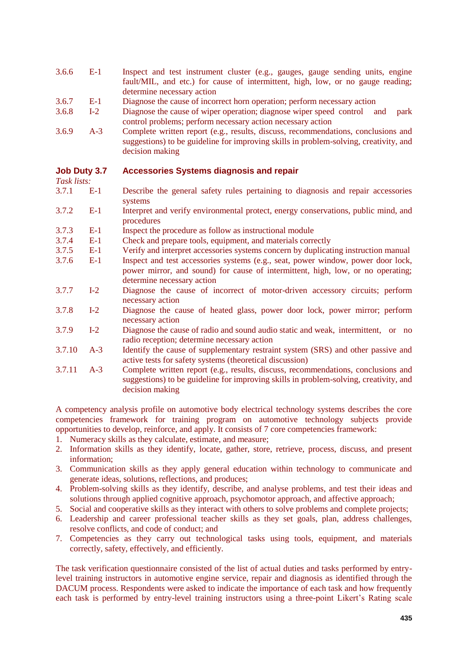- 3.6.6 E-1 Inspect and test instrument cluster (e.g., gauges, gauge sending units, engine fault/MIL, and etc.) for cause of intermittent, high, low, or no gauge reading; determine necessary action
- 3.6.7 E-1 Diagnose the cause of incorrect horn operation; perform necessary action
- 3.6.8 I-2 Diagnose the cause of wiper operation; diagnose wiper speed control and park control problems; perform necessary action necessary action
- 3.6.9 A-3 Complete written report (e.g., results, discuss, recommendations, conclusions and suggestions) to be guideline for improving skills in problem-solving, creativity, and decision making

#### **Job Duty 3.7 Accessories Systems diagnosis and repair**

*Task lists:* 

- 3.7.1 E-1 Describe the general safety rules pertaining to diagnosis and repair accessories systems
- 3.7.2 E-1 Interpret and verify environmental protect, energy conservations, public mind, and procedures
- 3.7.3 E-1 Inspect the procedure as follow as instructional module
- 3.7.4 E-1 Check and prepare tools, equipment, and materials correctly
- 3.7.5 E-1 Verify and interpret accessories systems concern by duplicating instruction manual
- 3.7.6 E-1 Inspect and test accessories systems (e.g., seat, power window, power door lock, power mirror, and sound) for cause of intermittent, high, low, or no operating; determine necessary action
- 3.7.7 I-2 Diagnose the cause of incorrect of motor-driven accessory circuits; perform necessary action
- 3.7.8 I-2 Diagnose the cause of heated glass, power door lock, power mirror; perform necessary action
- 3.7.9 I-2 Diagnose the cause of radio and sound audio static and weak, intermittent, or no radio reception; determine necessary action
- 3.7.10 A-3 Identify the cause of supplementary restraint system (SRS) and other passive and active tests for safety systems (theoretical discussion)
- 3.7.11 A-3 Complete written report (e.g., results, discuss, recommendations, conclusions and suggestions) to be guideline for improving skills in problem-solving, creativity, and decision making

A competency analysis profile on automotive body electrical technology systems describes the core competencies framework for training program on automotive technology subjects provide opportunities to develop, reinforce, and apply. It consists of 7 core competencies framework:

- 1. Numeracy skills as they calculate, estimate, and measure;
- 2. Information skills as they identify, locate, gather, store, retrieve, process, discuss, and present information;
- 3. Communication skills as they apply general education within technology to communicate and generate ideas, solutions, reflections, and produces;
- 4. Problem-solving skills as they identify, describe, and analyse problems, and test their ideas and solutions through applied cognitive approach, psychomotor approach, and affective approach;
- 5. Social and cooperative skills as they interact with others to solve problems and complete projects;
- 6. Leadership and career professional teacher skills as they set goals, plan, address challenges, resolve conflicts, and code of conduct; and
- 7. Competencies as they carry out technological tasks using tools, equipment, and materials correctly, safety, effectively, and efficiently.

The task verification questionnaire consisted of the list of actual duties and tasks performed by entrylevel training instructors in automotive engine service, repair and diagnosis as identified through the DACUM process. Respondents were asked to indicate the importance of each task and how frequently each task is performed by entry-level training instructors using a three-point Likert's Rating scale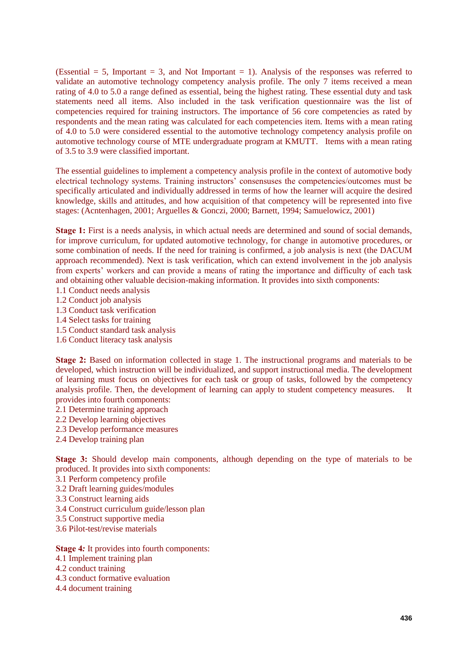(Essential  $= 5$ , Important  $= 3$ , and Not Important  $= 1$ ). Analysis of the responses was referred to validate an automotive technology competency analysis profile. The only 7 items received a mean rating of 4.0 to 5.0 a range defined as essential, being the highest rating. These essential duty and task statements need all items. Also included in the task verification questionnaire was the list of competencies required for training instructors. The importance of 56 core competencies as rated by respondents and the mean rating was calculated for each competencies item. Items with a mean rating of 4.0 to 5.0 were considered essential to the automotive technology competency analysis profile on automotive technology course of MTE undergraduate program at KMUTT. Items with a mean rating of 3.5 to 3.9 were classified important.

The essential guidelines to implement a competency analysis profile in the context of automotive body electrical technology systems. Training instructors' consensuses the competencies/outcomes must be specifically articulated and individually addressed in terms of how the learner will acquire the desired knowledge, skills and attitudes, and how acquisition of that competency will be represented into five stages: (Acntenhagen, 2001; Arguelles & Gonczi, 2000; Barnett, 1994; Samuelowicz, 2001)

**Stage 1:** First is a needs analysis, in which actual needs are determined and sound of social demands, for improve curriculum, for updated automotive technology, for change in automotive procedures, or some combination of needs. If the need for training is confirmed, a job analysis is next (the DACUM approach recommended). Next is task verification, which can extend involvement in the job analysis from experts' workers and can provide a means of rating the importance and difficulty of each task and obtaining other valuable decision-making information. It provides into sixth components:

- 1.1 Conduct needs analysis
- 1.2 Conduct job analysis
- 1.3 Conduct task verification
- 1.4 Select tasks for training
- 1.5 Conduct standard task analysis
- 1.6 Conduct literacy task analysis

**Stage 2:** Based on information collected in stage 1. The instructional programs and materials to be developed, which instruction will be individualized, and support instructional media. The development of learning must focus on objectives for each task or group of tasks, followed by the competency analysis profile. Then, the development of learning can apply to student competency measures. It provides into fourth components:

- 2.1 Determine training approach
- 2.2 Develop learning objectives
- 2.3 Develop performance measures
- 2.4 Develop training plan

**Stage 3:** Should develop main components, although depending on the type of materials to be produced. It provides into sixth components:

- 3.1 Perform competency profile
- 3.2 Draft learning guides/modules
- 3.3 Construct learning aids
- 3.4 Construct curriculum guide/lesson plan
- 3.5 Construct supportive media
- 3.6 Pilot-test/revise materials

#### **Stage 4***:* It provides into fourth components:

- 4.1 Implement training plan
- 4.2 conduct training
- 4.3 conduct formative evaluation
- 4.4 document training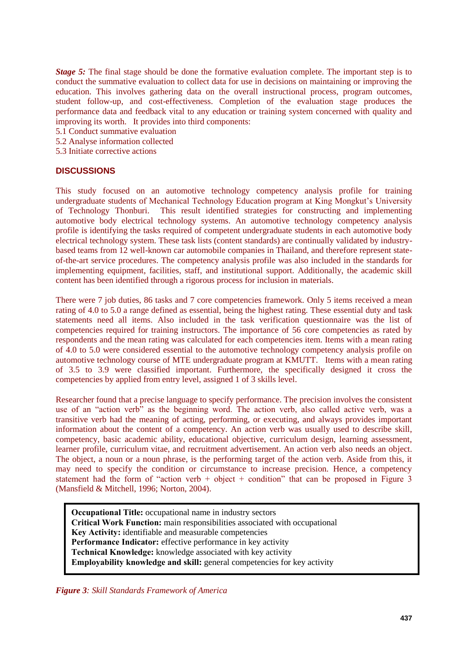*Stage 5:* The final stage should be done the formative evaluation complete. The important step is to conduct the summative evaluation to collect data for use in decisions on maintaining or improving the education. This involves gathering data on the overall instructional process, program outcomes, student follow-up, and cost-effectiveness. Completion of the evaluation stage produces the performance data and feedback vital to any education or training system concerned with quality and improving its worth. It provides into third components:

5.1 Conduct summative evaluation

5.2 Analyse information collected

5.3 Initiate corrective actions

#### **DISCUSSIONS**

This study focused on an automotive technology competency analysis profile for training undergraduate students of Mechanical Technology Education program at King Mongkut's University of Technology Thonburi. This result identified strategies for constructing and implementing automotive body electrical technology systems. An automotive technology competency analysis profile is identifying the tasks required of competent undergraduate students in each automotive body electrical technology system. These task lists (content standards) are continually validated by industrybased teams from 12 well-known car automobile companies in Thailand, and therefore represent stateof-the-art service procedures. The competency analysis profile was also included in the standards for implementing equipment, facilities, staff, and institutional support. Additionally, the academic skill content has been identified through a rigorous process for inclusion in materials.

There were 7 job duties, 86 tasks and 7 core competencies framework. Only 5 items received a mean rating of 4.0 to 5.0 a range defined as essential, being the highest rating. These essential duty and task statements need all items. Also included in the task verification questionnaire was the list of competencies required for training instructors. The importance of 56 core competencies as rated by respondents and the mean rating was calculated for each competencies item. Items with a mean rating of 4.0 to 5.0 were considered essential to the automotive technology competency analysis profile on automotive technology course of MTE undergraduate program at KMUTT. Items with a mean rating of 3.5 to 3.9 were classified important. Furthermore, the specifically designed it cross the competencies by applied from entry level, assigned 1 of 3 skills level.

Researcher found that a precise language to specify performance. The precision involves the consistent use of an "action verb" as the beginning word. The action verb, also called active verb, was a transitive verb had the meaning of acting, performing, or executing, and always provides important information about the content of a competency. An action verb was usually used to describe skill, competency, basic academic ability, educational objective, curriculum design, learning assessment, learner profile, curriculum vitae, and recruitment advertisement. An action verb also needs an object. The object, a noun or a noun phrase, is the performing target of the action verb. Aside from this, it may need to specify the condition or circumstance to increase precision. Hence, a competency statement had the form of "action verb + object + condition" that can be proposed in Figure 3 (Mansfield & Mitchell, 1996; Norton, 2004).

**Occupational Title:** occupational name in industry sectors **Critical Work Function:** main responsibilities associated with occupational **Key Activity:** identifiable and measurable competencies **Performance Indicator:** effective performance in key activity **Technical Knowledge:** knowledge associated with key activity **Employability knowledge and skill:** general competencies for key activity

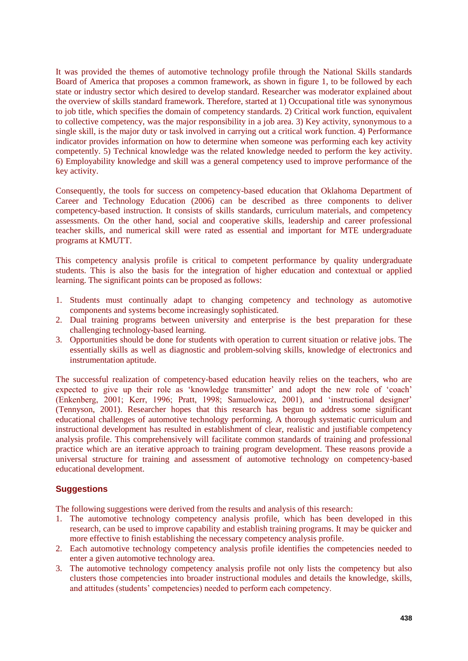It was provided the themes of automotive technology profile through the National Skills standards Board of America that proposes a common framework, as shown in figure 1, to be followed by each state or industry sector which desired to develop standard. Researcher was moderator explained about the overview of skills standard framework. Therefore, started at 1) Occupational title was synonymous to job title, which specifies the domain of competency standards. 2) Critical work function, equivalent to collective competency, was the major responsibility in a job area. 3) Key activity, synonymous to a single skill, is the major duty or task involved in carrying out a critical work function. 4) Performance indicator provides information on how to determine when someone was performing each key activity competently. 5) Technical knowledge was the related knowledge needed to perform the key activity. 6) Employability knowledge and skill was a general competency used to improve performance of the key activity.

Consequently, the tools for success on competency-based education that Oklahoma Department of Career and Technology Education (2006) can be described as three components to deliver competency-based instruction. It consists of skills standards, curriculum materials, and competency assessments. On the other hand, social and cooperative skills, leadership and career professional teacher skills, and numerical skill were rated as essential and important for MTE undergraduate programs at KMUTT.

This competency analysis profile is critical to competent performance by quality undergraduate students. This is also the basis for the integration of higher education and contextual or applied learning. The significant points can be proposed as follows:

- 1. Students must continually adapt to changing competency and technology as automotive components and systems become increasingly sophisticated.
- 2. Dual training programs between university and enterprise is the best preparation for these challenging technology-based learning.
- 3. Opportunities should be done for students with operation to current situation or relative jobs. The essentially skills as well as diagnostic and problem-solving skills, knowledge of electronics and instrumentation aptitude.

The successful realization of competency-based education heavily relies on the teachers, who are expected to give up their role as 'knowledge transmitter' and adopt the new role of 'coach' (Enkenberg, 2001; Kerr, 1996; Pratt, 1998; Samuelowicz, 2001), and ‗instructional designer' (Tennyson, 2001). Researcher hopes that this research has begun to address some significant educational challenges of automotive technology performing. A thorough systematic curriculum and instructional development has resulted in establishment of clear, realistic and justifiable competency analysis profile. This comprehensively will facilitate common standards of training and professional practice which are an iterative approach to training program development. These reasons provide a universal structure for training and assessment of automotive technology on competency-based educational development.

#### **Suggestions**

The following suggestions were derived from the results and analysis of this research:

- 1. The automotive technology competency analysis profile, which has been developed in this research, can be used to improve capability and establish training programs. It may be quicker and more effective to finish establishing the necessary competency analysis profile.
- 2. Each automotive technology competency analysis profile identifies the competencies needed to enter a given automotive technology area.
- 3. The automotive technology competency analysis profile not only lists the competency but also clusters those competencies into broader instructional modules and details the knowledge, skills, and attitudes (students' competencies) needed to perform each competency.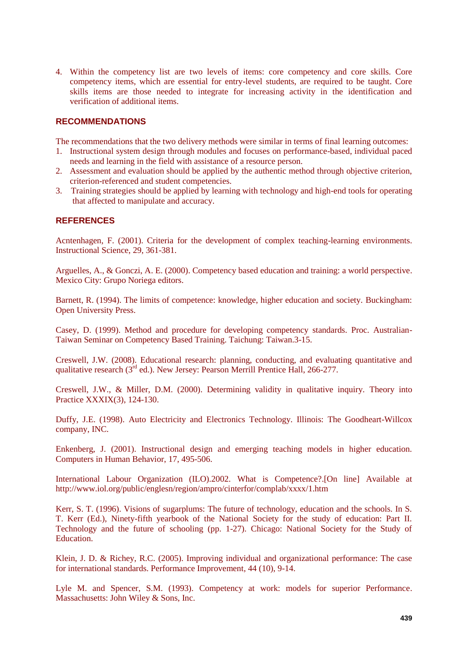4. Within the competency list are two levels of items: core competency and core skills. Core competency items, which are essential for entry-level students, are required to be taught. Core skills items are those needed to integrate for increasing activity in the identification and verification of additional items.

#### **RECOMMENDATIONS**

The recommendations that the two delivery methods were similar in terms of final learning outcomes:

- 1. Instructional system design through modules and focuses on performance-based, individual paced needs and learning in the field with assistance of a resource person.
- 2. Assessment and evaluation should be applied by the authentic method through objective criterion, criterion-referenced and student competencies.
- 3. Training strategies should be applied by learning with technology and high-end tools for operating that affected to manipulate and accuracy.

#### **REFERENCES**

Acntenhagen, F. (2001). Criteria for the development of complex teaching-learning environments. Instructional Science, 29, 361-381.

Arguelles, A., & Gonczi, A. E. (2000). Competency based education and training: a world perspective. Mexico City: Grupo Noriega editors.

Barnett, R. (1994). The limits of competence: knowledge, higher education and society. Buckingham: Open University Press.

Casey, D. (1999). Method and procedure for developing competency standards. Proc. Australian-Taiwan Seminar on Competency Based Training. Taichung: Taiwan.3-15.

Creswell, J.W. (2008). Educational research: planning, conducting, and evaluating quantitative and qualitative research (3rd ed.). New Jersey: Pearson Merrill Prentice Hall, 266-277.

Creswell, J.W., & Miller, D.M. (2000). Determining validity in qualitative inquiry. Theory into Practice XXXIX(3), 124-130.

Duffy, J.E. (1998). Auto Electricity and Electronics Technology. Illinois: The Goodheart-Willcox company, INC.

Enkenberg, J. (2001). Instructional design and emerging teaching models in higher education. Computers in Human Behavior, 17, 495-506.

International Labour Organization (ILO).2002. What is Competence?.[On line] Available at http://www.iol.org/public/englesn/region/ampro/cinterfor/complab/xxxx/1.htm

Kerr, S. T. (1996). Visions of sugarplums: The future of technology, education and the schools. In S. T. Kerr (Ed.), Ninety-fifth yearbook of the National Society for the study of education: Part II. Technology and the future of schooling (pp. 1-27). Chicago: National Society for the Study of **Education** 

Klein, J. D. & Richey, R.C. (2005). Improving individual and organizational performance: The case for international standards. Performance Improvement, 44 (10), 9-14.

Lyle M. and Spencer, S.M. (1993). Competency at work: models for superior Performance. Massachusetts: John Wiley & Sons, Inc.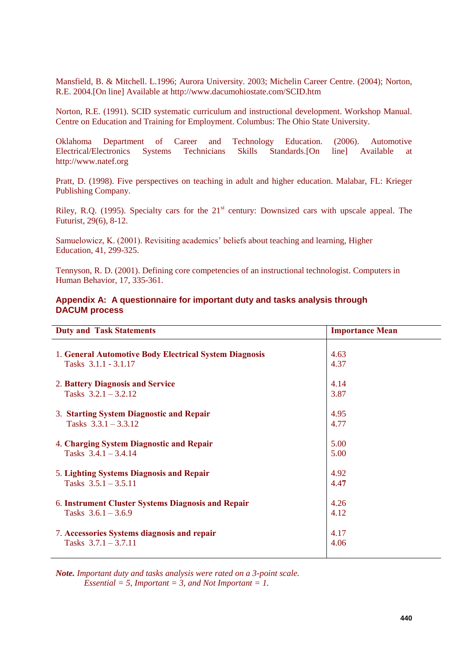Mansfield, B. & Mitchell. L.1996; Aurora University. 2003; Michelin Career Centre. (2004); Norton, R.E. 2004.[On line] Available at http://www.dacumohiostate.com/SCID.htm

Norton, R.E. (1991). SCID systematic curriculum and instructional development. Workshop Manual. Centre on Education and Training for Employment. Columbus: The Ohio State University.

Oklahoma Department of Career and Technology Education. (2006). Automotive Electrical/Electronics Systems Technicians Skills Standards.[On line] Available at http://www.natef.org

Pratt, D. (1998). Five perspectives on teaching in adult and higher education. Malabar, FL: Krieger Publishing Company.

Riley, R.O. (1995). Specialty cars for the  $21<sup>st</sup>$  century: Downsized cars with upscale appeal. The Futurist, 29(6), 8-12.

Samuelowicz, K. (2001). Revisiting academics' beliefs about teaching and learning, Higher Education, 41, 299-325.

Tennyson, R. D. (2001). Defining core competencies of an instructional technologist. Computers in Human Behavior, 17, 335-361.

#### **Appendix A: A questionnaire for important duty and tasks analysis through DACUM process**

| <b>Duty and Task Statements</b>                        | <b>Importance Mean</b> |
|--------------------------------------------------------|------------------------|
| 1. General Automotive Body Electrical System Diagnosis | 4.63                   |
| Tasks 3.1.1 - 3.1.17                                   | 4.37                   |
| 2. Battery Diagnosis and Service                       | 4.14                   |
| Tasks $3.2.1 - 3.2.12$                                 | 3.87                   |
| 3. Starting System Diagnostic and Repair               | 4.95                   |
| Tasks $3.3.1 - 3.3.12$                                 | 4.77                   |
| 4. Charging System Diagnostic and Repair               | 5.00                   |
| Tasks $3.4.1 - 3.4.14$                                 | 5.00                   |
| 5. Lighting Systems Diagnosis and Repair               | 4.92                   |
| Tasks $3.5.1 - 3.5.11$                                 | 4.47                   |
| 6. Instrument Cluster Systems Diagnosis and Repair     | 4.26                   |
| Tasks $3.6.1 - 3.6.9$                                  | 4.12                   |
| 7. Accessories Systems diagnosis and repair            | 4.17                   |
| Tasks $3.7.1 - 3.7.11$                                 | 4.06                   |

*Note. Important duty and tasks analysis were rated on a 3-point scale. Essential = 5, Important = 3, and Not Important = 1.*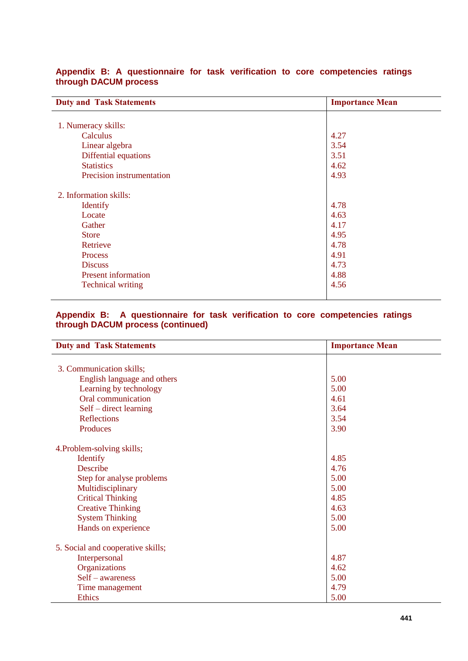| <b>Duty and Task Statements</b> | <b>Importance Mean</b> |  |
|---------------------------------|------------------------|--|
|                                 |                        |  |
| 1. Numeracy skills:             |                        |  |
| Calculus                        | 4.27                   |  |
| Linear algebra                  | 3.54                   |  |
| Diffential equations            | 3.51                   |  |
| <b>Statistics</b>               | 4.62                   |  |
| Precision instrumentation       | 4.93                   |  |
| 2. Information skills:          |                        |  |
| <b>Identify</b>                 | 4.78                   |  |
| Locate                          | 4.63                   |  |
| Gather                          | 4.17                   |  |
| <b>Store</b>                    | 4.95                   |  |
| Retrieve                        | 4.78                   |  |
| Process                         | 4.91                   |  |
| <b>Discuss</b>                  | 4.73                   |  |
| <b>Present information</b>      | 4.88                   |  |
| <b>Technical writing</b>        | 4.56                   |  |

### **Appendix B: A questionnaire for task verification to core competencies ratings through DACUM process**

#### **Appendix B: A questionnaire for task verification to core competencies ratings through DACUM process (continued)**

| <b>Duty and Task Statements</b>   | <b>Importance Mean</b> |
|-----------------------------------|------------------------|
|                                   |                        |
| 3. Communication skills;          |                        |
| English language and others       | 5.00                   |
| Learning by technology            | 5.00                   |
| Oral communication                | 4.61                   |
| Self – direct learning            | 3.64                   |
| Reflections                       | 3.54                   |
| Produces                          | 3.90                   |
| 4. Problem-solving skills;        |                        |
| Identify                          | 4.85                   |
| Describe                          | 4.76                   |
| Step for analyse problems         | 5.00                   |
| Multidisciplinary                 | 5.00                   |
| <b>Critical Thinking</b>          | 4.85                   |
| <b>Creative Thinking</b>          | 4.63                   |
| <b>System Thinking</b>            | 5.00                   |
| Hands on experience               | 5.00                   |
| 5. Social and cooperative skills; |                        |
| Interpersonal                     | 4.87                   |
| Organizations                     | 4.62                   |
| Self - awareness                  | 5.00                   |
| Time management                   | 4.79                   |
| <b>Ethics</b>                     | 5.00                   |